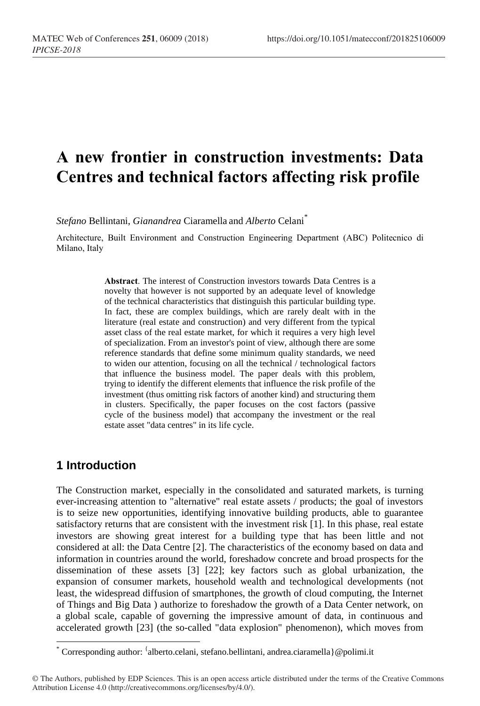# **A new frontier in construction investments: Data Centres and technical factors affecting risk profile**

*Stefano* Bellintani, *Gianandrea* Ciaramella and *Alberto* Celani\*

Architecture, Built Environment and Construction Engineering Department (ABC) Politecnico di Milano, Italy

> **Abstract**. The interest of Construction investors towards Data Centres is a novelty that however is not supported by an adequate level of knowledge of the technical characteristics that distinguish this particular building type. In fact, these are complex buildings, which are rarely dealt with in the literature (real estate and construction) and very different from the typical asset class of the real estate market, for which it requires a very high level of specialization. From an investor's point of view, although there are some reference standards that define some minimum quality standards, we need to widen our attention, focusing on all the technical / technological factors that influence the business model. The paper deals with this problem, trying to identify the different elements that influence the risk profile of the investment (thus omitting risk factors of another kind) and structuring them in clusters. Specifically, the paper focuses on the cost factors (passive cycle of the business model) that accompany the investment or the real estate asset "data centres" in its life cycle.

### **1 Introduction**

 $\overline{\phantom{a}}$ 

The Construction market, especially in the consolidated and saturated markets, is turning ever-increasing attention to "alternative" real estate assets / products; the goal of investors is to seize new opportunities, identifying innovative building products, able to guarantee satisfactory returns that are consistent with the investment risk [1]. In this phase, real estate investors are showing great interest for a building type that has been little and not considered at all: the Data Centre [2]. The characteristics of the economy based on data and information in countries around the world, foreshadow concrete and broad prospects for the dissemination of these assets [3] [22]; key factors such as global urbanization, the expansion of consumer markets, household wealth and technological developments (not least, the widespread diffusion of smartphones, the growth of cloud computing, the Internet of Things and Big Data ) authorize to foreshadow the growth of a Data Center network, on a global scale, capable of governing the impressive amount of data, in continuous and accelerated growth [23] (the so-called "data explosion" phenomenon), which moves from

<sup>\*</sup> Corresponding author: { alberto.celani, stefano.bellintani, andrea.ciaramella}@polimi.it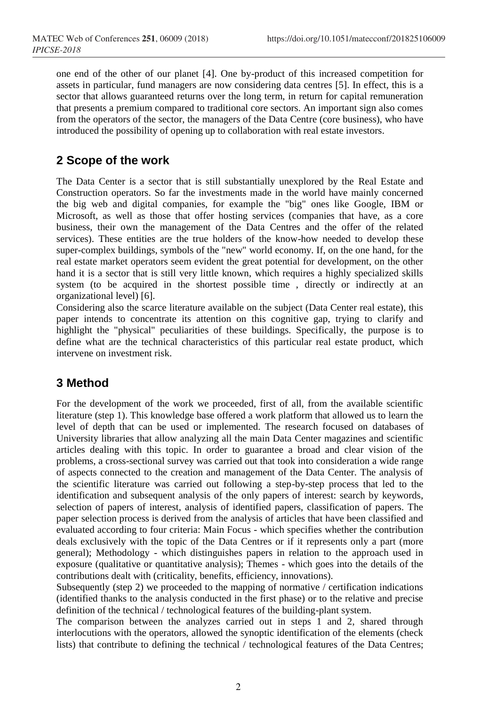one end of the other of our planet [4]. One by-product of this increased competition for assets in particular, fund managers are now considering data centres [5]. In effect, this is a sector that allows guaranteed returns over the long term, in return for capital remuneration that presents a premium compared to traditional core sectors. An important sign also comes from the operators of the sector, the managers of the Data Centre (core business), who have introduced the possibility of opening up to collaboration with real estate investors.

# **2 Scope of the work**

The Data Center is a sector that is still substantially unexplored by the Real Estate and Construction operators. So far the investments made in the world have mainly concerned the big web and digital companies, for example the "big" ones like Google, IBM or Microsoft, as well as those that offer hosting services (companies that have, as a core business, their own the management of the Data Centres and the offer of the related services). These entities are the true holders of the know-how needed to develop these super-complex buildings, symbols of the "new" world economy. If, on the one hand, for the real estate market operators seem evident the great potential for development, on the other hand it is a sector that is still very little known, which requires a highly specialized skills system (to be acquired in the shortest possible time, directly or indirectly at an organizational level) [6].

Considering also the scarce literature available on the subject (Data Center real estate), this paper intends to concentrate its attention on this cognitive gap, trying to clarify and highlight the "physical" peculiarities of these buildings. Specifically, the purpose is to define what are the technical characteristics of this particular real estate product, which intervene on investment risk.

# **3 Method**

For the development of the work we proceeded, first of all, from the available scientific literature (step 1). This knowledge base offered a work platform that allowed us to learn the level of depth that can be used or implemented. The research focused on databases of University libraries that allow analyzing all the main Data Center magazines and scientific articles dealing with this topic. In order to guarantee a broad and clear vision of the problems, a cross-sectional survey was carried out that took into consideration a wide range of aspects connected to the creation and management of the Data Center. The analysis of the scientific literature was carried out following a step-by-step process that led to the identification and subsequent analysis of the only papers of interest: search by keywords, selection of papers of interest, analysis of identified papers, classification of papers. The paper selection process is derived from the analysis of articles that have been classified and evaluated according to four criteria: Main Focus - which specifies whether the contribution deals exclusively with the topic of the Data Centres or if it represents only a part (more general); Methodology - which distinguishes papers in relation to the approach used in exposure (qualitative or quantitative analysis); Themes - which goes into the details of the contributions dealt with (criticality, benefits, efficiency, innovations).

Subsequently (step 2) we proceeded to the mapping of normative / certification indications (identified thanks to the analysis conducted in the first phase) or to the relative and precise definition of the technical / technological features of the building-plant system.

The comparison between the analyzes carried out in steps 1 and 2, shared through interlocutions with the operators, allowed the synoptic identification of the elements (check lists) that contribute to defining the technical / technological features of the Data Centres;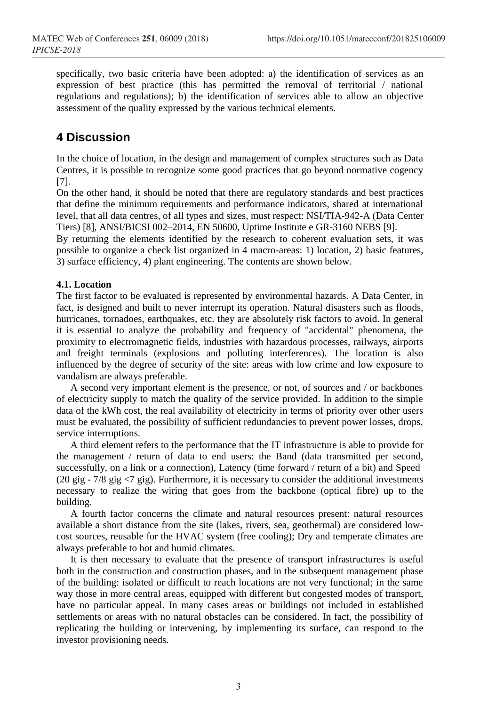specifically, two basic criteria have been adopted: a) the identification of services as an expression of best practice (this has permitted the removal of territorial / national regulations and regulations); b) the identification of services able to allow an objective assessment of the quality expressed by the various technical elements.

## **4 Discussion**

In the choice of location, in the design and management of complex structures such as Data Centres, it is possible to recognize some good practices that go beyond normative cogency [7].

On the other hand, it should be noted that there are regulatory standards and best practices that define the minimum requirements and performance indicators, shared at international level, that all data centres, of all types and sizes, must respect: NSI/TIA-942-A (Data Center Tiers) [8], ANSI/BICSI 002–2014, EN 50600, Uptime Institute e GR-3160 NEBS [9].

By returning the elements identified by the research to coherent evaluation sets, it was possible to organize a check list organized in 4 macro-areas: 1) location, 2) basic features, 3) surface efficiency, 4) plant engineering. The contents are shown below.

#### **4.1. Location**

The first factor to be evaluated is represented by environmental hazards. A Data Center, in fact, is designed and built to never interrupt its operation. Natural disasters such as floods, hurricanes, tornadoes, earthquakes, etc. they are absolutely risk factors to avoid. In general it is essential to analyze the probability and frequency of "accidental" phenomena, the proximity to electromagnetic fields, industries with hazardous processes, railways, airports and freight terminals (explosions and polluting interferences). The location is also influenced by the degree of security of the site: areas with low crime and low exposure to vandalism are always preferable.

A second very important element is the presence, or not, of sources and / or backbones of electricity supply to match the quality of the service provided. In addition to the simple data of the kWh cost, the real availability of electricity in terms of priority over other users must be evaluated, the possibility of sufficient redundancies to prevent power losses, drops, service interruptions.

A third element refers to the performance that the IT infrastructure is able to provide for the management / return of data to end users: the Band (data transmitted per second, successfully, on a link or a connection), Latency (time forward / return of a bit) and Speed (20 gig -  $7/8$  gig  $\lt 7$  gig). Furthermore, it is necessary to consider the additional investments necessary to realize the wiring that goes from the backbone (optical fibre) up to the building.

A fourth factor concerns the climate and natural resources present: natural resources available a short distance from the site (lakes, rivers, sea, geothermal) are considered lowcost sources, reusable for the HVAC system (free cooling); Dry and temperate climates are always preferable to hot and humid climates.

It is then necessary to evaluate that the presence of transport infrastructures is useful both in the construction and construction phases, and in the subsequent management phase of the building: isolated or difficult to reach locations are not very functional; in the same way those in more central areas, equipped with different but congested modes of transport, have no particular appeal. In many cases areas or buildings not included in established settlements or areas with no natural obstacles can be considered. In fact, the possibility of replicating the building or intervening, by implementing its surface, can respond to the investor provisioning needs.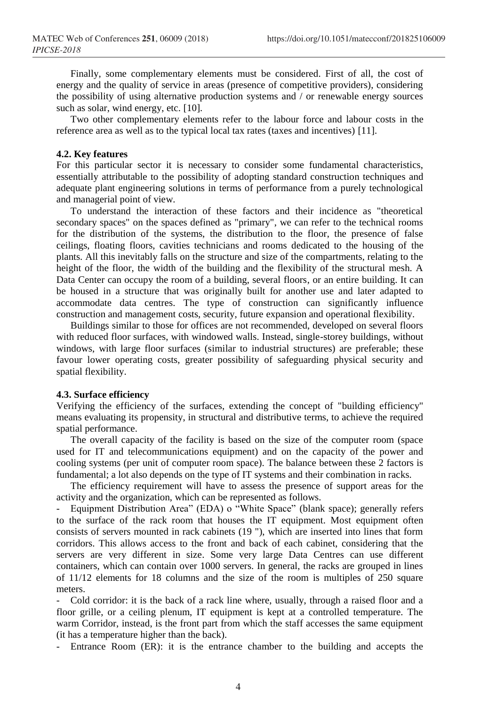Finally, some complementary elements must be considered. First of all, the cost of energy and the quality of service in areas (presence of competitive providers), considering the possibility of using alternative production systems and / or renewable energy sources such as solar, wind energy, etc. [10].

Two other complementary elements refer to the labour force and labour costs in the reference area as well as to the typical local tax rates (taxes and incentives) [11].

#### **4.2. Key features**

For this particular sector it is necessary to consider some fundamental characteristics, essentially attributable to the possibility of adopting standard construction techniques and adequate plant engineering solutions in terms of performance from a purely technological and managerial point of view.

To understand the interaction of these factors and their incidence as "theoretical secondary spaces" on the spaces defined as "primary", we can refer to the technical rooms for the distribution of the systems, the distribution to the floor, the presence of false ceilings, floating floors, cavities technicians and rooms dedicated to the housing of the plants. All this inevitably falls on the structure and size of the compartments, relating to the height of the floor, the width of the building and the flexibility of the structural mesh. A Data Center can occupy the room of a building, several floors, or an entire building. It can be housed in a structure that was originally built for another use and later adapted to accommodate data centres. The type of construction can significantly influence construction and management costs, security, future expansion and operational flexibility.

Buildings similar to those for offices are not recommended, developed on several floors with reduced floor surfaces, with windowed walls. Instead, single-storey buildings, without windows, with large floor surfaces (similar to industrial structures) are preferable; these favour lower operating costs, greater possibility of safeguarding physical security and spatial flexibility.

#### **4.3. Surface efficiency**

Verifying the efficiency of the surfaces, extending the concept of "building efficiency" means evaluating its propensity, in structural and distributive terms, to achieve the required spatial performance.

The overall capacity of the facility is based on the size of the computer room (space used for IT and telecommunications equipment) and on the capacity of the power and cooling systems (per unit of computer room space). The balance between these 2 factors is fundamental; a lot also depends on the type of IT systems and their combination in racks.

The efficiency requirement will have to assess the presence of support areas for the activity and the organization, which can be represented as follows.

Equipment Distribution Area" (EDA) o "White Space" (blank space); generally refers to the surface of the rack room that houses the IT equipment. Most equipment often consists of servers mounted in rack cabinets (19 "), which are inserted into lines that form corridors. This allows access to the front and back of each cabinet, considering that the servers are very different in size. Some very large Data Centres can use different containers, which can contain over 1000 servers. In general, the racks are grouped in lines of 11/12 elements for 18 columns and the size of the room is multiples of 250 square meters.

- Cold corridor: it is the back of a rack line where, usually, through a raised floor and a floor grille, or a ceiling plenum, IT equipment is kept at a controlled temperature. The warm Corridor, instead, is the front part from which the staff accesses the same equipment (it has a temperature higher than the back).

- Entrance Room (ER): it is the entrance chamber to the building and accepts the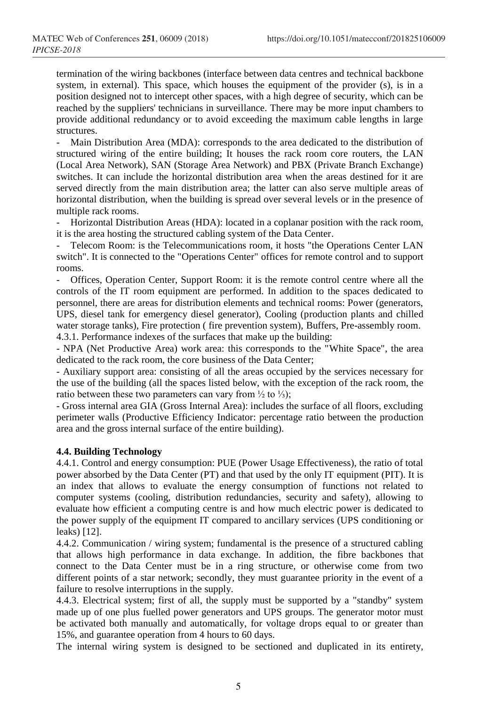termination of the wiring backbones (interface between data centres and technical backbone system, in external). This space, which houses the equipment of the provider (s), is in a position designed not to intercept other spaces, with a high degree of security, which can be reached by the suppliers' technicians in surveillance. There may be more input chambers to provide additional redundancy or to avoid exceeding the maximum cable lengths in large structures.

Main Distribution Area (MDA): corresponds to the area dedicated to the distribution of structured wiring of the entire building; It houses the rack room core routers, the LAN (Local Area Network), SAN (Storage Area Network) and PBX (Private Branch Exchange) switches. It can include the horizontal distribution area when the areas destined for it are served directly from the main distribution area; the latter can also serve multiple areas of horizontal distribution, when the building is spread over several levels or in the presence of multiple rack rooms.

- Horizontal Distribution Areas (HDA): located in a coplanar position with the rack room, it is the area hosting the structured cabling system of the Data Center.

Telecom Room: is the Telecommunications room, it hosts "the Operations Center LAN switch". It is connected to the "Operations Center" offices for remote control and to support rooms.

Offices, Operation Center, Support Room: it is the remote control centre where all the controls of the IT room equipment are performed. In addition to the spaces dedicated to personnel, there are areas for distribution elements and technical rooms: Power (generators, UPS, diesel tank for emergency diesel generator), Cooling (production plants and chilled water storage tanks), Fire protection ( fire prevention system), Buffers, Pre-assembly room. 4.3.1. Performance indexes of the surfaces that make up the building:

- NPA (Net Productive Area) work area: this corresponds to the "White Space", the area dedicated to the rack room, the core business of the Data Center;

- Auxiliary support area: consisting of all the areas occupied by the services necessary for the use of the building (all the spaces listed below, with the exception of the rack room, the ratio between these two parameters can vary from  $\frac{1}{2}$  to  $\frac{1}{3}$ ;

- Gross internal area GIA (Gross Internal Area): includes the surface of all floors, excluding perimeter walls (Productive Efficiency Indicator: percentage ratio between the production area and the gross internal surface of the entire building).

#### **4.4. Building Technology**

4.4.1. Control and energy consumption: PUE (Power Usage Effectiveness), the ratio of total power absorbed by the Data Center (PT) and that used by the only IT equipment (PIT). It is an index that allows to evaluate the energy consumption of functions not related to computer systems (cooling, distribution redundancies, security and safety), allowing to evaluate how efficient a computing centre is and how much electric power is dedicated to the power supply of the equipment IT compared to ancillary services (UPS conditioning or leaks) [12].

4.4.2. Communication / wiring system; fundamental is the presence of a structured cabling that allows high performance in data exchange. In addition, the fibre backbones that connect to the Data Center must be in a ring structure, or otherwise come from two different points of a star network; secondly, they must guarantee priority in the event of a failure to resolve interruptions in the supply.

4.4.3. Electrical system; first of all, the supply must be supported by a "standby" system made up of one plus fuelled power generators and UPS groups. The generator motor must be activated both manually and automatically, for voltage drops equal to or greater than 15%, and guarantee operation from 4 hours to 60 days.

The internal wiring system is designed to be sectioned and duplicated in its entirety,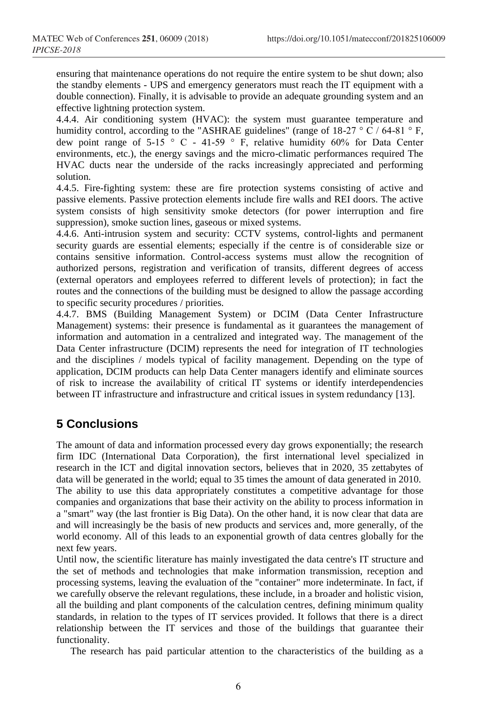ensuring that maintenance operations do not require the entire system to be shut down; also the standby elements - UPS and emergency generators must reach the IT equipment with a double connection). Finally, it is advisable to provide an adequate grounding system and an effective lightning protection system.

4.4.4. Air conditioning system (HVAC): the system must guarantee temperature and humidity control, according to the "ASHRAE guidelines" (range of 18-27  $\degree$  C / 64-81  $\degree$  F, dew point range of  $5{\text -}15$  ° C - 41-59 ° F, relative humidity 60% for Data Center environments, etc.), the energy savings and the micro-climatic performances required The HVAC ducts near the underside of the racks increasingly appreciated and performing solution.

4.4.5. Fire-fighting system: these are fire protection systems consisting of active and passive elements. Passive protection elements include fire walls and REI doors. The active system consists of high sensitivity smoke detectors (for power interruption and fire suppression), smoke suction lines, gaseous or mixed systems.

4.4.6. Anti-intrusion system and security: CCTV systems, control-lights and permanent security guards are essential elements; especially if the centre is of considerable size or contains sensitive information. Control-access systems must allow the recognition of authorized persons, registration and verification of transits, different degrees of access (external operators and employees referred to different levels of protection); in fact the routes and the connections of the building must be designed to allow the passage according to specific security procedures / priorities.

4.4.7. BMS (Building Management System) or DCIM (Data Center Infrastructure Management) systems: their presence is fundamental as it guarantees the management of information and automation in a centralized and integrated way. The management of the Data Center infrastructure (DCIM) represents the need for integration of IT technologies and the disciplines / models typical of facility management. Depending on the type of application, DCIM products can help Data Center managers identify and eliminate sources of risk to increase the availability of critical IT systems or identify interdependencies between IT infrastructure and infrastructure and critical issues in system redundancy [13].

# **5 Conclusions**

The amount of data and information processed every day grows exponentially; the research firm IDC (International Data Corporation), the first international level specialized in research in the ICT and digital innovation sectors, believes that in 2020, 35 zettabytes of data will be generated in the world; equal to 35 times the amount of data generated in 2010. The ability to use this data appropriately constitutes a competitive advantage for those companies and organizations that base their activity on the ability to process information in a "smart" way (the last frontier is Big Data). On the other hand, it is now clear that data are and will increasingly be the basis of new products and services and, more generally, of the world economy. All of this leads to an exponential growth of data centres globally for the next few years.

Until now, the scientific literature has mainly investigated the data centre's IT structure and the set of methods and technologies that make information transmission, reception and processing systems, leaving the evaluation of the "container" more indeterminate. In fact, if we carefully observe the relevant regulations, these include, in a broader and holistic vision, all the building and plant components of the calculation centres, defining minimum quality standards, in relation to the types of IT services provided. It follows that there is a direct relationship between the IT services and those of the buildings that guarantee their functionality.

The research has paid particular attention to the characteristics of the building as a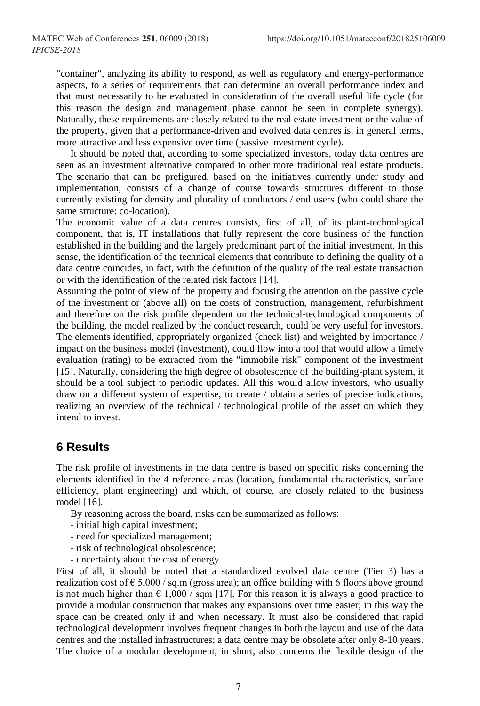"container", analyzing its ability to respond, as well as regulatory and energy-performance aspects, to a series of requirements that can determine an overall performance index and that must necessarily to be evaluated in consideration of the overall useful life cycle (for this reason the design and management phase cannot be seen in complete synergy). Naturally, these requirements are closely related to the real estate investment or the value of the property, given that a performance-driven and evolved data centres is, in general terms, more attractive and less expensive over time (passive investment cycle).

It should be noted that, according to some specialized investors, today data centres are seen as an investment alternative compared to other more traditional real estate products. The scenario that can be prefigured, based on the initiatives currently under study and implementation, consists of a change of course towards structures different to those currently existing for density and plurality of conductors / end users (who could share the same structure: co-location).

The economic value of a data centres consists, first of all, of its plant-technological component, that is, IT installations that fully represent the core business of the function established in the building and the largely predominant part of the initial investment. In this sense, the identification of the technical elements that contribute to defining the quality of a data centre coincides, in fact, with the definition of the quality of the real estate transaction or with the identification of the related risk factors [14].

Assuming the point of view of the property and focusing the attention on the passive cycle of the investment or (above all) on the costs of construction, management, refurbishment and therefore on the risk profile dependent on the technical-technological components of the building, the model realized by the conduct research, could be very useful for investors. The elements identified, appropriately organized (check list) and weighted by importance / impact on the business model (investment), could flow into a tool that would allow a timely evaluation (rating) to be extracted from the "immobile risk" component of the investment [15]. Naturally, considering the high degree of obsolescence of the building-plant system, it should be a tool subject to periodic updates. All this would allow investors, who usually draw on a different system of expertise, to create / obtain a series of precise indications, realizing an overview of the technical / technological profile of the asset on which they intend to invest.

### **6 Results**

The risk profile of investments in the data centre is based on specific risks concerning the elements identified in the 4 reference areas (location, fundamental characteristics, surface efficiency, plant engineering) and which, of course, are closely related to the business model [16].

By reasoning across the board, risks can be summarized as follows:

- initial high capital investment;
- need for specialized management;
- risk of technological obsolescence;
- uncertainty about the cost of energy

First of all, it should be noted that a standardized evolved data centre (Tier 3) has a realization cost of  $\epsilon$  5,000 / sq.m (gross area); an office building with 6 floors above ground is not much higher than  $\epsilon$  1,000 / sqm [17]. For this reason it is always a good practice to provide a modular construction that makes any expansions over time easier; in this way the space can be created only if and when necessary. It must also be considered that rapid technological development involves frequent changes in both the layout and use of the data centres and the installed infrastructures; a data centre may be obsolete after only 8-10 years. The choice of a modular development, in short, also concerns the flexible design of the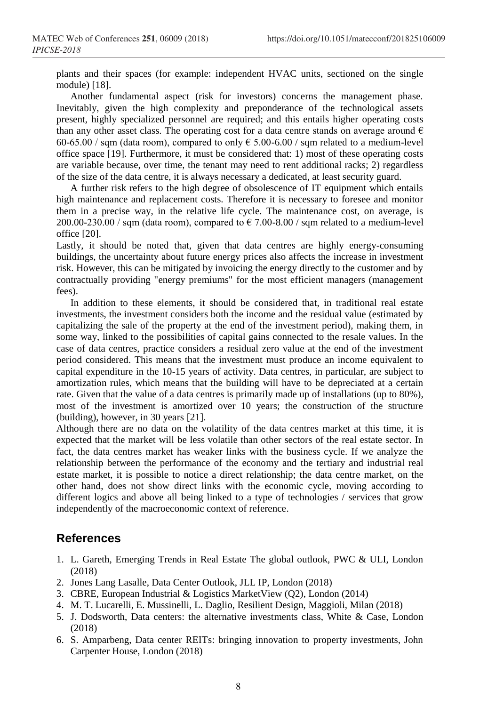plants and their spaces (for example: independent HVAC units, sectioned on the single module) [18].

Another fundamental aspect (risk for investors) concerns the management phase. Inevitably, given the high complexity and preponderance of the technological assets present, highly specialized personnel are required; and this entails higher operating costs than any other asset class. The operating cost for a data centre stands on average around  $\epsilon$ 60-65.00 / sqm (data room), compared to only  $\epsilon$  5.00-6.00 / sqm related to a medium-level office space [19]. Furthermore, it must be considered that: 1) most of these operating costs are variable because, over time, the tenant may need to rent additional racks; 2) regardless of the size of the data centre, it is always necessary a dedicated, at least security guard.

A further risk refers to the high degree of obsolescence of IT equipment which entails high maintenance and replacement costs. Therefore it is necessary to foresee and monitor them in a precise way, in the relative life cycle. The maintenance cost, on average, is 200.00-230.00 / sqm (data room), compared to  $\epsilon$  7.00-8.00 / sqm related to a medium-level office [20].

Lastly, it should be noted that, given that data centres are highly energy-consuming buildings, the uncertainty about future energy prices also affects the increase in investment risk. However, this can be mitigated by invoicing the energy directly to the customer and by contractually providing "energy premiums" for the most efficient managers (management fees).

In addition to these elements, it should be considered that, in traditional real estate investments, the investment considers both the income and the residual value (estimated by capitalizing the sale of the property at the end of the investment period), making them, in some way, linked to the possibilities of capital gains connected to the resale values. In the case of data centres, practice considers a residual zero value at the end of the investment period considered. This means that the investment must produce an income equivalent to capital expenditure in the 10-15 years of activity. Data centres, in particular, are subject to amortization rules, which means that the building will have to be depreciated at a certain rate. Given that the value of a data centres is primarily made up of installations (up to 80%), most of the investment is amortized over 10 years; the construction of the structure (building), however, in 30 years [21].

Although there are no data on the volatility of the data centres market at this time, it is expected that the market will be less volatile than other sectors of the real estate sector. In fact, the data centres market has weaker links with the business cycle. If we analyze the relationship between the performance of the economy and the tertiary and industrial real estate market, it is possible to notice a direct relationship; the data centre market, on the other hand, does not show direct links with the economic cycle, moving according to different logics and above all being linked to a type of technologies / services that grow independently of the macroeconomic context of reference.

### **References**

- 1. L. Gareth, Emerging Trends in Real Estate The global outlook, PWC & ULI, London (2018)
- 2. Jones Lang Lasalle, Data Center Outlook, JLL IP, London (2018)
- 3. CBRE, European Industrial & Logistics MarketView (Q2), London (2014)
- 4. M. T. Lucarelli, E. Mussinelli, L. Daglio, Resilient Design, Maggioli, Milan (2018)
- 5. J. Dodsworth, Data centers: the alternative investments class, White & Case, London (2018)
- 6. S. Amparbeng, Data center REITs: bringing innovation to property investments, John Carpenter House, London (2018)